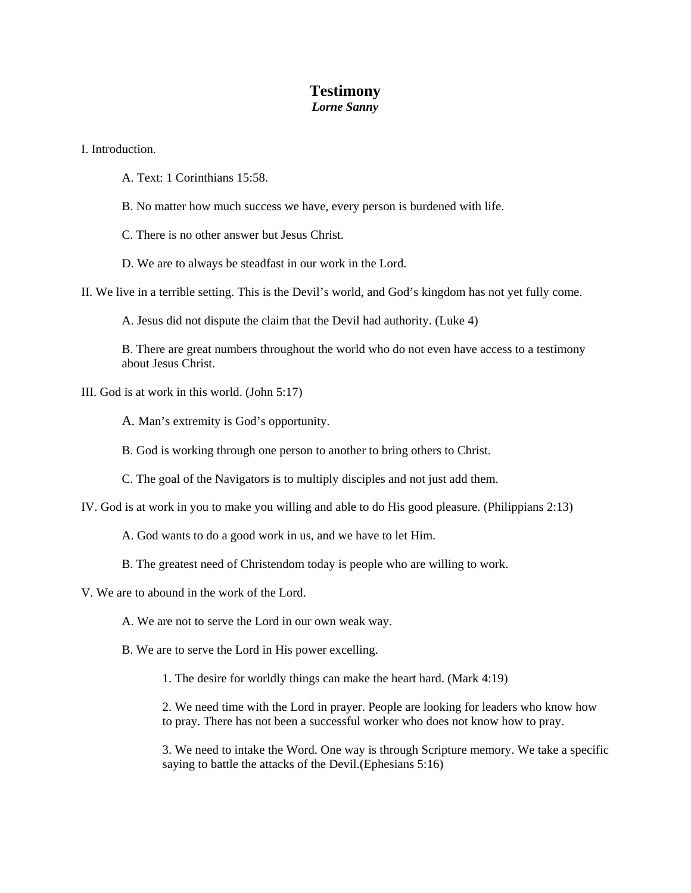## **Testimony**

## *Lorne Sanny*

I. Introduction.

- A. Text: 1 Corinthians 15:58.
- B. No matter how much success we have, every person is burdened with life.
- C. There is no other answer but Jesus Christ.
- D. We are to always be steadfast in our work in the Lord.
- II. We live in a terrible setting. This is the Devil's world, and God's kingdom has not yet fully come.

A. Jesus did not dispute the claim that the Devil had authority. (Luke 4)

B. There are great numbers throughout the world who do not even have access to a testimony about Jesus Christ.

III. God is at work in this world. (John 5:17)

A. Man's extremity is God's opportunity.

B. God is working through one person to another to bring others to Christ.

C. The goal of the Navigators is to multiply disciples and not just add them.

- IV. God is at work in you to make you willing and able to do His good pleasure. (Philippians 2:13)
	- A. God wants to do a good work in us, and we have to let Him.
	- B. The greatest need of Christendom today is people who are willing to work.

V. We are to abound in the work of the Lord.

A. We are not to serve the Lord in our own weak way.

- B. We are to serve the Lord in His power excelling.
	- 1. The desire for worldly things can make the heart hard. (Mark 4:19)

2. We need time with the Lord in prayer. People are looking for leaders who know how to pray. There has not been a successful worker who does not know how to pray.

3. We need to intake the Word. One way is through Scripture memory. We take a specific saying to battle the attacks of the Devil. (Ephesians  $5:16$ )